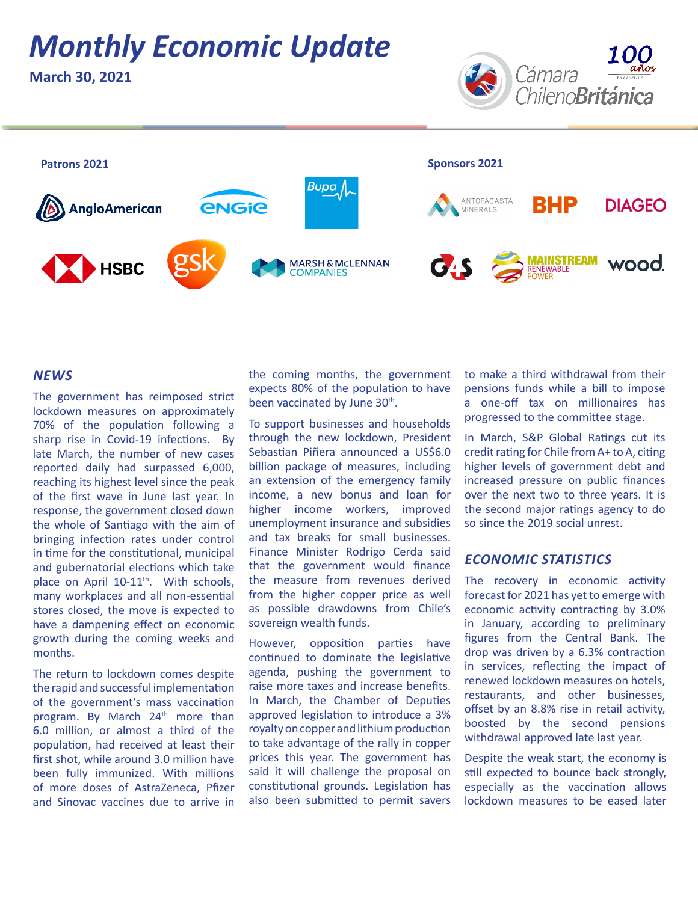# *Monthly Economic Update*

**March 30, 2021**





### *NEWS*

The government has reimposed strict lockdown measures on approximately 70% of the population following a sharp rise in Covid-19 infections. By late March, the number of new cases reported daily had surpassed 6,000, reaching its highest level since the peak of the first wave in June last year. In response, the government closed down the whole of Santiago with the aim of bringing infection rates under control in time for the constitutional, municipal and gubernatorial elections which take place on April 10-11<sup>th</sup>. With schools, many workplaces and all non-essential stores closed, the move is expected to have a dampening effect on economic growth during the coming weeks and months.

The return to lockdown comes despite the rapid and successful implementation of the government's mass vaccination program. By March 24<sup>th</sup> more than 6.0 million, or almost a third of the population, had received at least their first shot, while around 3.0 million have been fully immunized. With millions of more doses of AstraZeneca, Pfizer and Sinovac vaccines due to arrive in the coming months, the government expects 80% of the population to have been vaccinated by June 30<sup>th</sup>.

To support businesses and households through the new lockdown, President Sebastian Piñera announced a US\$6.0 billion package of measures, including an extension of the emergency family income, a new bonus and loan for higher income workers, improved unemployment insurance and subsidies and tax breaks for small businesses. Finance Minister Rodrigo Cerda said that the government would finance the measure from revenues derived from the higher copper price as well as possible drawdowns from Chile's sovereign wealth funds.

However, opposition parties have continued to dominate the legislative agenda, pushing the government to raise more taxes and increase benefits. In March, the Chamber of Deputies approved legislation to introduce a 3% royalty on copper and lithium production to take advantage of the rally in copper prices this year. The government has said it will challenge the proposal on constitutional grounds. Legislation has also been submitted to permit savers

to make a third withdrawal from their pensions funds while a bill to impose a one-off tax on millionaires has progressed to the committee stage.

In March, S&P Global Ratings cut its credit rating for Chile from A+ to A, citing higher levels of government debt and increased pressure on public finances over the next two to three years. It is the second major ratings agency to do so since the 2019 social unrest.

### *ECONOMIC STATISTICS*

The recovery in economic activity forecast for 2021 has yet to emerge with economic activity contracting by 3.0% in January, according to preliminary figures from the Central Bank. The drop was driven by a 6.3% contraction in services, reflecting the impact of renewed lockdown measures on hotels, restaurants, and other businesses, offset by an 8.8% rise in retail activity, boosted by the second pensions withdrawal approved late last year.

Despite the weak start, the economy is still expected to bounce back strongly, especially as the vaccination allows lockdown measures to be eased later